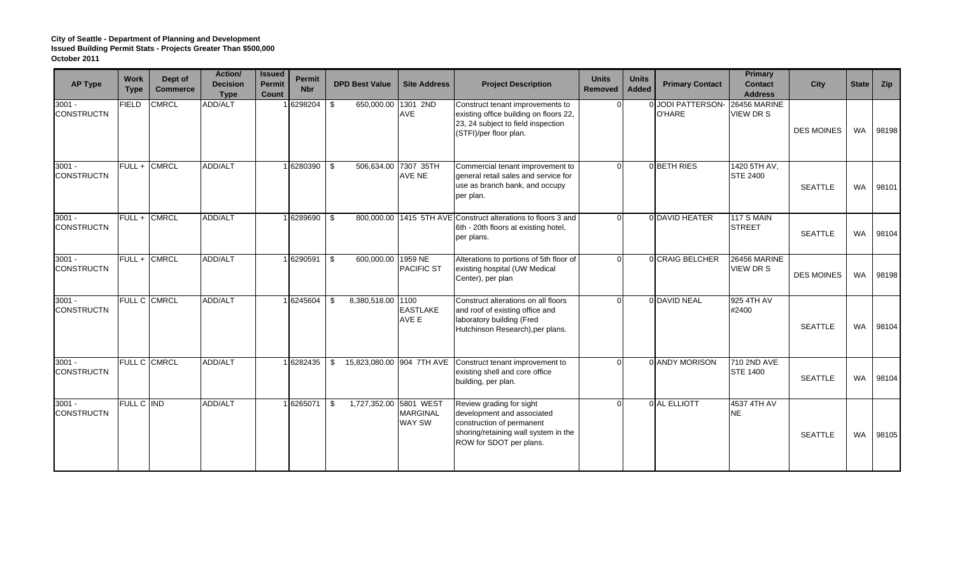| <b>AP Type</b>                | <b>Work</b><br><b>Type</b> | Dept of<br><b>Commerce</b> | Action/<br><b>Decision</b><br><b>Type</b> | <b>Issued</b><br><b>Permit</b><br>Count | <b>Permit</b><br><b>Nbr</b> | <b>DPD Best Value</b>           | <b>Site Address</b>       | <b>Project Description</b>                                                                                                                             | <b>Units</b><br><b>Removed</b> | <b>Units</b><br><b>Added</b> | <b>Primary Contact</b>      | Primary<br><b>Contact</b><br><b>Address</b> | <b>City</b>       | <b>State</b> | <b>Zip</b> |
|-------------------------------|----------------------------|----------------------------|-------------------------------------------|-----------------------------------------|-----------------------------|---------------------------------|---------------------------|--------------------------------------------------------------------------------------------------------------------------------------------------------|--------------------------------|------------------------------|-----------------------------|---------------------------------------------|-------------------|--------------|------------|
| $3001 -$<br><b>CONSTRUCTN</b> | <b>FIELD</b>               | <b>CMRCL</b>               | <b>ADD/ALT</b>                            |                                         | 16298204                    | 650,000.00<br>\$                | 1301 2ND<br>AVE           | Construct tenant improvements to<br>existing office building on floors 22,<br>23, 24 subject to field inspection<br>(STFI)/per floor plan.             |                                |                              | 0 JODI PATTERSON-<br>O'HARE | 26456 MARINE<br>VIEW DR S                   | <b>DES MOINES</b> | WA           | 98198      |
| $3001 -$<br><b>CONSTRUCTN</b> | FULL + CMRCL               |                            | ADD/ALT                                   |                                         | 6280390                     | 506,634.00 7307 35TH<br>- \$    | AVE NE                    | Commercial tenant improvement to<br>general retail sales and service for<br>use as branch bank, and occupy<br>per plan.                                |                                |                              | 0 BETH RIES                 | 1420 5TH AV,<br><b>STE 2400</b>             | <b>SEATTLE</b>    | <b>WA</b>    | 98101      |
| $3001 -$<br><b>CONSTRUCTN</b> | FULL + CMRCL               |                            | <b>ADD/ALT</b>                            |                                         | 1 6289690                   | \$                              |                           | 800,000.00 1415 5TH AVE Construct alterations to floors 3 and<br>6th - 20th floors at existing hotel,<br>per plans.                                    | $\Omega$                       |                              | 0 DAVID HEATER              | <b>117 S MAIN</b><br><b>STREET</b>          | <b>SEATTLE</b>    | <b>WA</b>    | 98104      |
| $3001 -$<br><b>CONSTRUCTN</b> | FULL + CMRCL               |                            | ADD/ALT                                   |                                         | 16290591 \$                 | 600,000.00 1959 NE              | <b>PACIFIC ST</b>         | Alterations to portions of 5th floor of<br>existing hospital (UW Medical<br>Center), per plan                                                          |                                |                              | 0 CRAIG BELCHER             | <b>26456 MARINE</b><br>VIEW DR S            | <b>DES MOINES</b> | <b>WA</b>    | 98198      |
| $3001 -$<br><b>CONSTRUCTN</b> | <b>FULL C CMRCL</b>        |                            | ADD/ALT                                   |                                         | 16245604                    | 8,380,518.00 1100<br>\$         | <b>EASTLAKE</b><br>AVE E  | Construct alterations on all floors<br>and roof of existing office and<br>laboratory building (Fred<br>Hutchinson Research), per plans.                |                                |                              | 0 DAVID NEAL                | 925 4TH AV<br>#2400                         | <b>SEATTLE</b>    | <b>WA</b>    | 98104      |
| $3001 -$<br><b>CONSTRUCTN</b> | FULL C CMRCL               |                            | <b>ADD/ALT</b>                            |                                         | 16282435                    | 15,823,080.00 904 7TH AVE<br>\$ |                           | Construct tenant improvement to<br>existing shell and core office<br>building, per plan.                                                               |                                |                              | 0 ANDY MORISON              | 710 2ND AVE<br><b>STE 1400</b>              | <b>SEATTLE</b>    | <b>WA</b>    | 98104      |
| $3001 -$<br><b>CONSTRUCTN</b> | FULL C IND                 |                            | <b>ADD/ALT</b>                            |                                         | 6265071                     | 1,727,352.00 5801 WEST<br>-\$   | <b>MARGINAL</b><br>WAY SW | Review grading for sight<br>development and associated<br>construction of permanent<br>shoring/retaining wall system in the<br>ROW for SDOT per plans. |                                |                              | 0 AL ELLIOTT                | 4537 4TH AV<br><b>NE</b>                    | <b>SEATTLE</b>    | <b>WA</b>    | 98105      |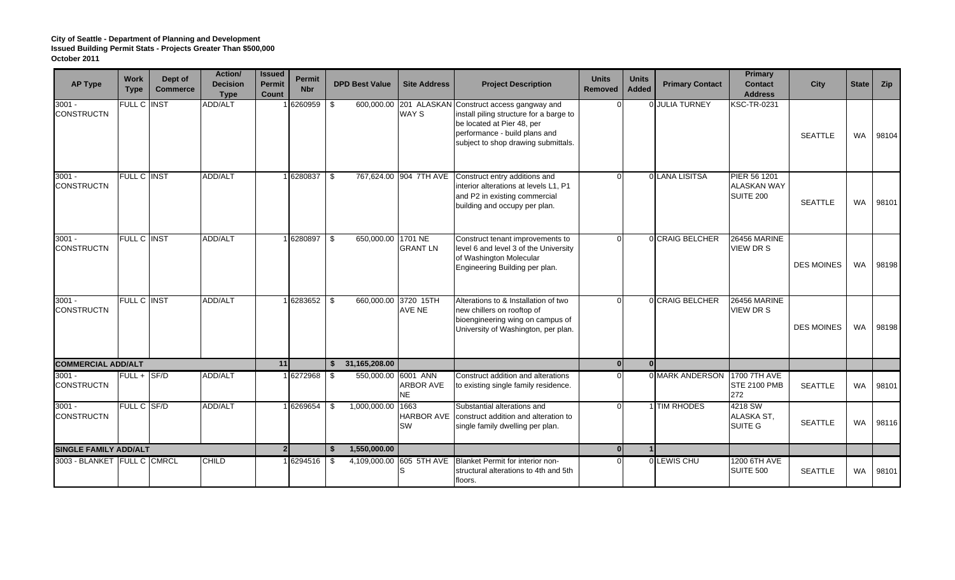| <b>AP Type</b>                | <b>Work</b><br><b>Type</b> | Dept of<br><b>Commerce</b> | <b>Action/</b><br><b>Decision</b><br><b>Type</b> | <b>Issued</b><br><b>Permit</b><br><b>Count</b> | Permit<br><b>Nbr</b> | <b>DPD Best Value</b>     | <b>Site Address</b>                                  | <b>Project Description</b>                                                                                                                                                    | <b>Units</b><br><b>Removed</b> | <b>Units</b><br>Added | <b>Primary Contact</b>       | <b>Primary</b><br><b>Contact</b><br><b>Address</b> | <b>City</b>       | <b>State</b> | Zip   |
|-------------------------------|----------------------------|----------------------------|--------------------------------------------------|------------------------------------------------|----------------------|---------------------------|------------------------------------------------------|-------------------------------------------------------------------------------------------------------------------------------------------------------------------------------|--------------------------------|-----------------------|------------------------------|----------------------------------------------------|-------------------|--------------|-------|
| $3001 -$<br><b>CONSTRUCTN</b> | FULL C INST                |                            | ADD/ALT                                          |                                                | 6260959              | \$                        | 600,000.00 201 ALASKAN<br>WAY S                      | Construct access gangway and<br>install piling structure for a barge to<br>be located at Pier 48, per<br>performance - build plans and<br>subject to shop drawing submittals. |                                |                       | 0 JULIA TURNEY               | <b>KSC-TR-0231</b>                                 | <b>SEATTLE</b>    | <b>WA</b>    | 98104 |
| $3001 -$<br><b>CONSTRUCTN</b> | <b>FULL C INST</b>         |                            | ADD/ALT                                          |                                                | 6280837              | -\$                       | 767,624.00 904 7TH AVE                               | Construct entry additions and<br>interior alterations at levels L1, P1<br>and P2 in existing commercial<br>building and occupy per plan.                                      |                                |                       | O LANA LISITSA               | PIER 56 1201<br><b>ALASKAN WAY</b><br>SUITE 200    | <b>SEATTLE</b>    | <b>WA</b>    | 98101 |
| $3001 -$<br><b>CONSTRUCTN</b> | FULL C INST                |                            | <b>ADD/ALT</b>                                   |                                                | 6280897              | 650,000.00 1701 NE<br>-\$ | <b>GRANT LN</b>                                      | Construct tenant improvements to<br>level 6 and level 3 of the University<br>of Washington Molecular<br>Engineering Building per plan.                                        |                                |                       | 0 CRAIG BELCHER              | 26456 MARINE<br><b>VIEW DR S</b>                   | <b>DES MOINES</b> | <b>WA</b>    | 98198 |
| $3001 -$<br><b>CONSTRUCTN</b> | FULL C INST                |                            | <b>ADD/ALT</b>                                   |                                                | 6283652              | -\$                       | 660,000.00 3720 15TH<br>AVE NE                       | Alterations to & Installation of two<br>new chillers on rooftop of<br>bioengineering wing on campus of<br>University of Washington, per plan.                                 |                                |                       | 0 CRAIG BELCHER              | <b>26456 MARINE</b><br><b>VIEW DR S</b>            | <b>DES MOINES</b> | <b>WA</b>    | 98198 |
| <b>COMMERCIAL ADD/ALT</b>     |                            |                            |                                                  | 11                                             |                      | 31,165,208.00<br>-\$      |                                                      |                                                                                                                                                                               | 0 <sup>l</sup>                 | $\Omega$              |                              |                                                    |                   |              |       |
| $3001 -$<br><b>CONSTRUCTN</b> | $FULL + SFD$               |                            | ADD/ALT                                          |                                                | 16272968             | - \$                      | 550,000.00 6001 ANN<br><b>ARBOR AVE</b><br><b>NE</b> | Construct addition and alterations<br>to existing single family residence.                                                                                                    |                                |                       | 0 MARK ANDERSON 1700 7TH AVE | <b>STE 2100 PMB</b><br>272                         | <b>SEATTLE</b>    | <b>WA</b>    | 98101 |
| $3001 -$<br><b>CONSTRUCTN</b> | FULL C SF/D                |                            | <b>ADD/ALT</b>                                   |                                                | 6269654              | 1,000,000.00<br>\$        | 1663<br>HARBOR AVE<br>SW                             | Substantial alterations and<br>construct addition and alteration to<br>single family dwelling per plan.                                                                       |                                |                       | 1 TIM RHODES                 | 4218 SW<br>ALASKA ST,<br>SUITE G                   | <b>SEATTLE</b>    | <b>WA</b>    | 98116 |
| <b>SINGLE FAMILY ADD/ALT</b>  |                            |                            |                                                  | 2 <sub>l</sub>                                 |                      | 1,550,000.00<br>- \$      |                                                      |                                                                                                                                                                               | $\mathbf{0}$                   |                       |                              |                                                    |                   |              |       |
| 3003 - BLANKET FULL C CMRCL   |                            |                            | <b>CHILD</b>                                     |                                                | 6294516              | -\$                       | 4,109,000.00 605 5TH AVE                             | Blanket Permit for interior non-<br>structural alterations to 4th and 5th<br>floors.                                                                                          |                                |                       | 0 LEWIS CHU                  | 1200 6TH AVE<br>SUITE 500                          | <b>SEATTLE</b>    | <b>WA</b>    | 98101 |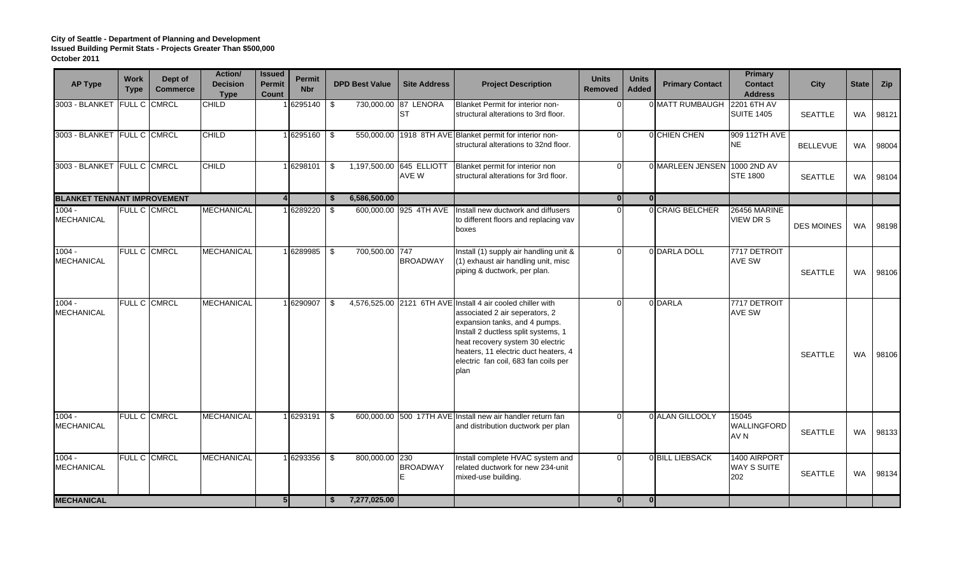| <b>AP Type</b>                     | <b>Work</b><br><b>Type</b> | Dept of<br><b>Commerce</b> | Action/<br><b>Decision</b><br><b>Type</b> | <b>Issued</b><br><b>Permit</b><br>Count | Permit<br><b>Nbr</b> | <b>DPD Best Value</b> | <b>Site Address</b>               | <b>Project Description</b>                                                                                                                                                                                                                                                                        | <b>Units</b><br><b>Removed</b> | <b>Units</b><br><b>Added</b> | <b>Primary Contact</b>       | <b>Primary</b><br><b>Contact</b><br><b>Address</b> | City              | State     | Zip   |
|------------------------------------|----------------------------|----------------------------|-------------------------------------------|-----------------------------------------|----------------------|-----------------------|-----------------------------------|---------------------------------------------------------------------------------------------------------------------------------------------------------------------------------------------------------------------------------------------------------------------------------------------------|--------------------------------|------------------------------|------------------------------|----------------------------------------------------|-------------------|-----------|-------|
| 3003 - BLANKET FULL C CMRCL        |                            |                            | CHILD                                     |                                         | 6295140              | \$                    | 730,000.00 87 LENORA<br>ST        | Blanket Permit for interior non-<br>structural alterations to 3rd floor.                                                                                                                                                                                                                          |                                |                              | 0 MATT RUMBAUGH 2201 6TH AV  | <b>SUITE 1405</b>                                  | <b>SEATTLE</b>    | WA        | 98121 |
| 3003 - BLANKET FULL C CMRCL        |                            |                            | <b>CHILD</b>                              |                                         | 16295160             | -\$                   |                                   | 550,000.00 1918 8TH AVE Blanket permit for interior non-<br>structural alterations to 32nd floor.                                                                                                                                                                                                 |                                |                              | 0 CHIEN CHEN                 | 909 112TH AVE<br><b>NE</b>                         | <b>BELLEVUE</b>   | <b>WA</b> | 98004 |
| 3003 - BLANKET FULL C CMRCL        |                            |                            | <b>CHILD</b>                              |                                         | 1 6298101            | \$                    | 1,197,500.00 645 ELLIOTT<br>AVE W | Blanket permit for interior non<br>structural alterations for 3rd floor.                                                                                                                                                                                                                          |                                |                              | 0 MARLEEN JENSEN 1000 2ND AV | <b>STE 1800</b>                                    | <b>SEATTLE</b>    | <b>WA</b> | 98104 |
| <b>BLANKET TENNANT IMPROVEMENT</b> |                            |                            |                                           |                                         |                      | 6,586,500.00<br>- \$  |                                   |                                                                                                                                                                                                                                                                                                   | $\Omega$                       | $\Omega$                     |                              |                                                    |                   |           |       |
| $1004 -$<br><b>MECHANICAL</b>      |                            | FULL C CMRCL               | <b>MECHANICAL</b>                         |                                         | 6289220              | - \$                  | 600,000.00 925 4TH AVE            | Install new ductwork and diffusers<br>to different floors and replacing vav<br>boxes                                                                                                                                                                                                              |                                |                              | 0 CRAIG BELCHER              | <b>26456 MARINE</b><br><b>VIEW DR S</b>            | <b>DES MOINES</b> | WA        | 98198 |
| $1004 -$<br><b>MECHANICAL</b>      |                            | FULL C CMRCL               | <b>MECHANICAL</b>                         |                                         | 6289985              | 700,500.00 747<br>\$  | <b>BROADWAY</b>                   | Install (1) supply air handling unit &<br>(1) exhaust air handling unit, misc<br>piping & ductwork, per plan.                                                                                                                                                                                     |                                |                              | 0 DARLA DOLL                 | 7717 DETROIT<br><b>AVE SW</b>                      | <b>SEATTLE</b>    | <b>WA</b> | 98106 |
| $1004 -$<br><b>MECHANICAL</b>      |                            | FULL C CMRCL               | <b>MECHANICAL</b>                         |                                         | 6290907              | - \$                  |                                   | 4,576,525.00 2121 6TH AVE Install 4 air cooled chiller with<br>associated 2 air seperators, 2<br>expansion tanks, and 4 pumps.<br>Install 2 ductless split systems, 1<br>heat recovery system 30 electric<br>heaters, 11 electric duct heaters, 4<br>electric fan coil, 683 fan coils per<br>plan |                                |                              | 0 DARLA                      | 7717 DETROIT<br><b>AVE SW</b>                      | <b>SEATTLE</b>    | <b>WA</b> | 98106 |
| $1004 -$<br><b>MECHANICAL</b>      |                            | <b>FULL C CMRCL</b>        | <b>MECHANICAL</b>                         |                                         | 6293191              | -\$                   |                                   | 600,000,00 500 17TH AVE Install new air handler return fan<br>and distribution ductwork per plan                                                                                                                                                                                                  |                                |                              | 0 ALAN GILLOOLY              | 15045<br>WALLINGFORD<br>AV N                       | <b>SEATTLE</b>    | WA        | 98133 |
| $1004 -$<br><b>MECHANICAL</b>      |                            | FULL C CMRCL               | <b>MECHANICAL</b>                         |                                         | 6293356              | 800,000.00 230<br>\$  | <b>BROADWAY</b>                   | Install complete HVAC system and<br>related ductwork for new 234-unit<br>mixed-use building.                                                                                                                                                                                                      |                                |                              | 0 BILL LIEBSACK              | 1400 AIRPORT<br><b>WAY S SUITE</b><br>202          | <b>SEATTLE</b>    | WA        | 98134 |
| <b>MECHANICAL</b>                  |                            |                            |                                           | 5 <sub>1</sub>                          |                      | 7,277,025.00<br>- \$  |                                   |                                                                                                                                                                                                                                                                                                   | $\overline{0}$                 | $\overline{0}$               |                              |                                                    |                   |           |       |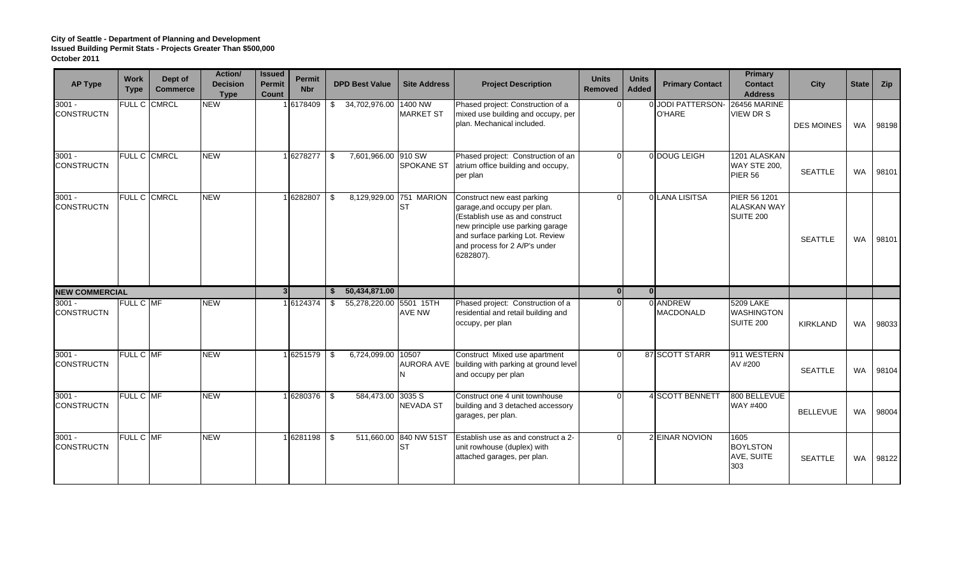| <b>AP Type</b>                | <b>Work</b><br><b>Type</b> | Dept of<br><b>Commerce</b> | Action/<br><b>Decision</b><br><b>Type</b> | <b>Issued</b><br><b>Permit</b><br>Count | <b>Permit</b><br><b>Nbr</b> | <b>DPD Best Value</b>         | <b>Site Address</b>                 | <b>Project Description</b>                                                                                                                                                                                         | <b>Units</b><br><b>Removed</b> | <b>Units</b><br>Added | <b>Primary Contact</b>       | <b>Primary</b><br><b>Contact</b><br><b>Address</b> | <b>City</b>       | <b>State</b> | Zip   |
|-------------------------------|----------------------------|----------------------------|-------------------------------------------|-----------------------------------------|-----------------------------|-------------------------------|-------------------------------------|--------------------------------------------------------------------------------------------------------------------------------------------------------------------------------------------------------------------|--------------------------------|-----------------------|------------------------------|----------------------------------------------------|-------------------|--------------|-------|
| $3001 -$<br><b>CONSTRUCTN</b> |                            | FULL C CMRCL               | <b>NEW</b>                                |                                         | 6178409                     | \$34,702,976.00               | 1400 NW<br><b>MARKET ST</b>         | Phased project: Construction of a<br>mixed use building and occupy, per<br>plan. Mechanical included.                                                                                                              |                                |                       | 0 JODI PATTERSON-<br>O'HARE  | <b>26456 MARINE</b><br><b>VIEW DR S</b>            | <b>DES MOINES</b> | WA           | 98198 |
| $3001 -$<br><b>CONSTRUCTN</b> |                            | FULL C CMRCL               | <b>NEW</b>                                |                                         | 6278277                     | 7,601,966.00 910 SW<br>-\$    | <b>SPOKANE ST</b>                   | Phased project: Construction of an<br>atrium office building and occupy,<br>per plan                                                                                                                               |                                |                       | 0 DOUG LEIGH                 | 1201 ALASKAN<br><b>WAY STE 200,</b><br>PIER 56     | <b>SEATTLE</b>    | WA           | 98101 |
| $3001 -$<br><b>CONSTRUCTN</b> |                            | FULL C CMRCL               | <b>NEW</b>                                |                                         | 6282807                     | -\$                           | 8,129,929.00 751 MARION<br>Ist      | Construct new east parking<br>garage, and occupy per plan.<br>(Establish use as and construct<br>new principle use parking garage<br>and surface parking Lot. Review<br>and process for 2 A/P's under<br>6282807). |                                |                       | 0 LANA LISITSA               | PIER 56 1201<br><b>ALASKAN WAY</b><br>SUITE 200    | <b>SEATTLE</b>    | <b>WA</b>    | 98101 |
| <b>NEW COMMERCIAL</b>         |                            |                            |                                           | 3 <sup>l</sup>                          |                             | 50,434,871.00<br>-S           |                                     |                                                                                                                                                                                                                    | $\Omega$                       | 0l                    |                              |                                                    |                   |              |       |
| $3001 -$<br><b>CONSTRUCTN</b> | <b>FULL C MF</b>           |                            | NEW                                       |                                         | 6124374                     | 55,278,220.00 5501 15TH<br>\$ | AVE NW                              | Phased project: Construction of a<br>residential and retail building and<br>occupy, per plan                                                                                                                       |                                |                       | 0 ANDREW<br><b>MACDONALD</b> | 5209 LAKE<br><b>WASHINGTON</b><br>SUITE 200        | KIRKLAND          | WA           | 98033 |
| $3001 -$<br><b>CONSTRUCTN</b> | FULL C MF                  |                            | <b>NEW</b>                                |                                         | 6251579                     | 6,724,099.00<br>\$            | 10507<br><b>AURORA AVE</b>          | Construct Mixed use apartment<br>building with parking at ground level<br>and occupy per plan                                                                                                                      |                                |                       | 87 SCOTT STARR               | 911 WESTERN<br>AV #200                             | <b>SEATTLE</b>    | <b>WA</b>    | 98104 |
| $3001 -$<br><b>CONSTRUCTN</b> | FULL C MF                  |                            | <b>NEW</b>                                |                                         | 6280376 \$                  | 584,473.00 3035 S             | <b>NEVADA ST</b>                    | Construct one 4 unit townhouse<br>building and 3 detached accessory<br>garages, per plan.                                                                                                                          |                                |                       | 4 SCOTT BENNETT              | 800 BELLEVUE<br>WAY #400                           | <b>BELLEVUE</b>   | <b>WA</b>    | 98004 |
| $3001 -$<br><b>CONSTRUCTN</b> | FULL C MF                  |                            | <b>NEW</b>                                |                                         | 6281198                     | -\$                           | 511,660.00 840 NW 51ST<br><b>ST</b> | Establish use as and construct a 2-<br>unit rowhouse (duplex) with<br>attached garages, per plan.                                                                                                                  |                                |                       | 2 EINAR NOVION               | 1605<br><b>BOYLSTON</b><br>AVE, SUITE<br>303       | <b>SEATTLE</b>    | <b>WA</b>    | 98122 |